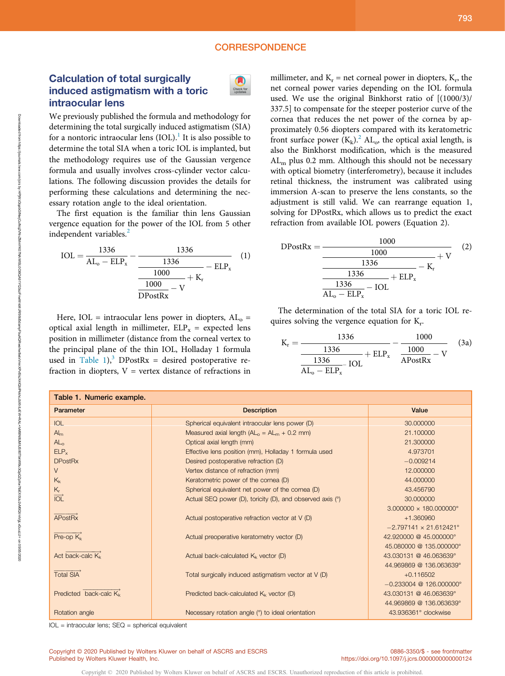## **CORRESPONDENCE**

## Calculation of total surgically induced astigmatism with a toric intraocular lens



We previously published the formula and methodology for determining the total surgically induced astigmatism (SIA) for a nontoric intraocular lens  $(IOL)$ .<sup>1</sup> It is also possible to determine the total SIA when a toric IOL is implanted, but the methodology requires use of the Gaussian vergence formula and usually involves cross-cylinder vector calculations. The following discussion provides the details for performing these calculations and determining the necessary rotation angle to the ideal orientation.

The first equation is the familiar thin lens Gaussian vergence equation for the power of the IOL from 5 other independent variables.<sup>2</sup>

$$
IOL = \frac{1336}{AL_o - ELP_x} - \frac{1336}{\frac{1336}{1000}} - ELP_x
$$
 (1)  

$$
\frac{1000}{DPostRx} - V
$$

Here, IOL = intraocular lens power in diopters,  $AL_0$  = optical axial length in millimeter,  $ELP_x$  = expected lens position in millimeter (distance from the corneal vertex to the principal plane of the thin IOL, Holladay 1 formula used in Table 1),<sup>3</sup> DPostRx = desired postoperative refraction in diopters,  $V =$  vertex distance of refractions in millimeter, and  $K_r$  = net corneal power in diopters,  $K_r$ , the net corneal power varies depending on the IOL formula used. We use the original Binkhorst ratio of [(1000/3)/ 337.5] to compensate for the steeper posterior curve of the cornea that reduces the net power of the cornea by approximately 0.56 diopters compared with its keratometric front surface power  $(K_k)$ .<sup>2</sup> AL<sub>o</sub>, the optical axial length, is also the Binkhorst modification, which is the measured  $AL<sub>m</sub>$  plus 0.2 mm. Although this should not be necessary with optical biometry (interferometry), because it includes retinal thickness, the instrument was calibrated using immersion A-scan to preserve the lens constants, so the adjustment is still valid. We can rearrange equation 1, solving for DPostRx, which allows us to predict the exact refraction from available IOL powers (Equation 2).

$$
DPostRx = \frac{1000}{\frac{1000}{1336} + V}
$$
 (2)  

$$
\frac{1336}{\frac{1336}{AL_o - ELP_x} - IOL}
$$
 (2)

The determination of the total SIA for a toric IOL requires solving the vergence equation for  $K_r$ .

$$
K_{r} = \frac{1336}{\frac{1336}{AL_{o} - ELP_{x}} + ELP_{x}} - \frac{1000}{\frac{1000}{APostRx} - V}
$$
 (3a)

| Table 1. Numeric example.          |                                                             |                                      |
|------------------------------------|-------------------------------------------------------------|--------------------------------------|
| Parameter                          | <b>Description</b>                                          | Value                                |
| <b>IOL</b>                         | Spherical equivalent intraocular lens power (D)             | 30.000000                            |
| $Al_m$                             | Measured axial length $(ALo = ALm + 0.2 mm)$                | 21.100000                            |
| AL <sub>o</sub>                    | Optical axial length (mm)                                   | 21.300000                            |
| ELP <sub>x</sub>                   | Effective lens position (mm), Holladay 1 formula used       | 4.973701                             |
| <b>DPostRx</b>                     | Desired postoperative refraction (D)                        | $-0.009214$                          |
| $\vee$                             | Vertex distance of refraction (mm)                          | 12,000000                            |
| $K_{k}$                            | Keratometric power of the cornea (D)                        | 44.000000                            |
| $K_r$                              | Spherical equivalent net power of the cornea (D)            | 43.456790                            |
| $\overrightarrow{IOL}$             | Actual SEQ power (D), toricity (D), and observed axis $(°)$ | 30,000000                            |
|                                    |                                                             | $3.000000 \times 180.000000$ °       |
| <b>APostRx</b>                     | Actual postoperative refraction vector at V (D)             | +1.360960                            |
|                                    |                                                             | $-2.797141 \times 21.612421^{\circ}$ |
| $Pre-op K_k$                       | Actual preoperative keratometry vector (D)                  | 42.920000 @ 45.000000°               |
|                                    |                                                             | 45.080000 @ 135.000000°              |
| Act back-calc K <sub>k</sub>       | Actual back-calculated $K_k$ vector (D)                     | 43.030131 @ 46.063639°               |
|                                    |                                                             | 44.969869 @ 136.063639°              |
| <b>Total SIA</b>                   | Total surgically induced astigmatism vector at V (D)        | $+0.116502$                          |
|                                    |                                                             | $-0.233004$ @ 126,000000°            |
| Predicted back-calc K <sub>k</sub> | Predicted back-calculated $K_k$ vector (D)                  | 43.030131 @ 46.063639°               |
|                                    |                                                             | 44.969869 @ 136.063639°              |
| Rotation angle                     | Necessary rotation angle (°) to ideal orientation           | 43.936361° clockwise                 |

Copyright © 2020 Published by Wolters Kluwer on behalf of ASCRS and ESCRS. Unauthorized reproduction of this article is prohibited.

 $IOL = intraocular lens; SEQ = spherical equivalent$ 

05/05/2020